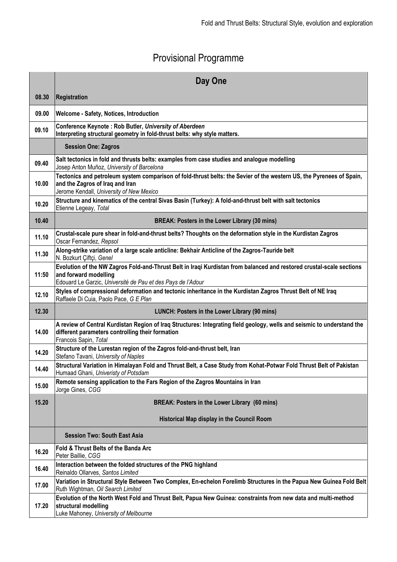# Provisional Programme

|       | Day One                                                                                                                                                                                                      |
|-------|--------------------------------------------------------------------------------------------------------------------------------------------------------------------------------------------------------------|
| 08.30 | Registration                                                                                                                                                                                                 |
| 09.00 | Welcome - Safety, Notices, Introduction                                                                                                                                                                      |
| 09.10 | Conference Keynote: Rob Butler, University of Aberdeen<br>Interpreting structural geometry in fold-thrust belts: why style matters.                                                                          |
|       | <b>Session One: Zagros</b>                                                                                                                                                                                   |
| 09.40 | Salt tectonics in fold and thrusts belts: examples from case studies and analogue modelling<br>Josep Anton Muñoz, University of Barcelona                                                                    |
| 10.00 | Tectonics and petroleum system comparison of fold-thrust belts: the Sevier of the western US, the Pyrenees of Spain,<br>and the Zagros of Iraq and Iran<br>Jerome Kendall, University of New Mexico          |
| 10.20 | Structure and kinematics of the central Sivas Basin (Turkey): A fold-and-thrust belt with salt tectonics<br>Etienne Legeay, Total                                                                            |
| 10.40 | BREAK: Posters in the Lower Library (30 mins)                                                                                                                                                                |
| 11.10 | Crustal-scale pure shear in fold-and-thrust belts? Thoughts on the deformation style in the Kurdistan Zagros<br>Oscar Fernandez, Repsol                                                                      |
| 11.30 | Along-strike variation of a large scale anticline: Bekhair Anticline of the Zagros-Tauride belt<br>N. Bozkurt Çiftçi, Genel                                                                                  |
| 11:50 | Evolution of the NW Zagros Fold-and-Thrust Belt in Iraqi Kurdistan from balanced and restored crustal-scale sections<br>and forward modelling<br>Edouard Le Garzic, Université de Pau et des Pays de l'Adour |
| 12.10 | Styles of compressional deformation and tectonic inheritance in the Kurdistan Zagros Thrust Belt of NE Iraq<br>Raffaele Di Cuia, Paolo Pace, G E Plan                                                        |
| 12.30 | LUNCH: Posters in the Lower Library (90 mins)                                                                                                                                                                |
| 14.00 | A review of Central Kurdistan Region of Iraq Structures: Integrating field geology, wells and seismic to understand the<br>different parameters controlling their formation<br>Francois Sapin, Total         |
| 14.20 | Structure of the Lurestan region of the Zagros fold-and-thrust belt, Iran<br>Stefano Tavani, University of Naples                                                                                            |
| 14.40 | Structural Variation in Himalayan Fold and Thrust Belt, a Case Study from Kohat-Potwar Fold Thrust Belt of Pakistan<br>Humaad Ghani, Univeristy of Potsdam                                                   |
| 15.00 | Remote sensing application to the Fars Region of the Zagros Mountains in Iran<br>Jorge Gines, CGG                                                                                                            |
| 15.20 | BREAK: Posters in the Lower Library (60 mins)                                                                                                                                                                |
|       | Historical Map display in the Council Room                                                                                                                                                                   |
|       | <b>Session Two: South East Asia</b>                                                                                                                                                                          |
| 16.20 | Fold & Thrust Belts of the Banda Arc<br>Peter Baillie, CGG                                                                                                                                                   |
| 16.40 | Interaction between the folded structures of the PNG highland<br>Reinaldo Ollarves, Santos Limited                                                                                                           |
| 17.00 | Variation in Structural Style Between Two Complex, En-echelon Forelimb Structures in the Papua New Guinea Fold Belt<br>Ruth Wightman, Oil Search Limited                                                     |
| 17.20 | Evolution of the North West Fold and Thrust Belt, Papua New Guinea: constraints from new data and multi-method<br>structural modelling<br>Luke Mahoney, University of Melbourne                              |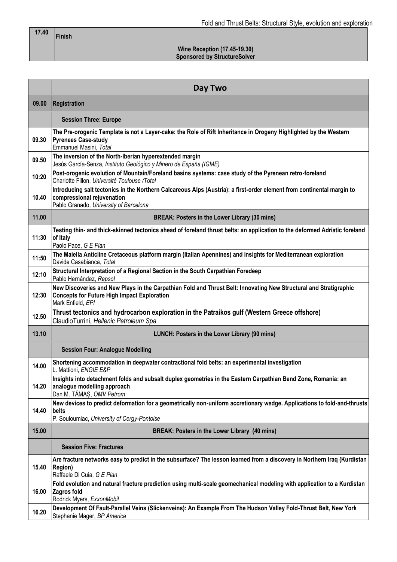$\overline{\phantom{a}}$ 

#### **Wine Reception (17.45-19.30) Sponsored by StructureSolver**

|       | Day Two                                                                                                                                                                                        |
|-------|------------------------------------------------------------------------------------------------------------------------------------------------------------------------------------------------|
| 09.00 | <b>Registration</b>                                                                                                                                                                            |
|       | <b>Session Three: Europe</b>                                                                                                                                                                   |
| 09.30 | The Pre-orogenic Template is not a Layer-cake: the Role of Rift Inheritance in Orogeny Highlighted by the Western<br><b>Pyrenees Case-study</b><br>Emmanuel Masini, Total                      |
| 09.50 | The inversion of the North-Iberian hyperextended margin<br>Jesús García-Senza, Instituto Geológico y Minero de España (IGME)                                                                   |
| 10:20 | Post-orogenic evolution of Mountain/Foreland basins systems: case study of the Pyrenean retro-foreland<br>Charlotte Fillon, Université Toulouse /Total                                         |
| 10.40 | Introducing salt tectonics in the Northern Calcareous Alps (Austria): a first-order element from continental margin to<br>compressional rejuvenation<br>Pablo Granado, University of Barcelona |
| 11.00 | <b>BREAK: Posters in the Lower Library (30 mins)</b>                                                                                                                                           |
| 11:30 | Testing thin- and thick-skinned tectonics ahead of foreland thrust belts: an application to the deformed Adriatic foreland<br>of Italy<br>Paolo Pace, G E Plan                                 |
| 11:50 | The Maiella Anticline Cretaceous platform margin (Italian Apennines) and insights for Mediterranean exploration<br>Davide Casabianca, Total                                                    |
| 12:10 | Structural Interpretation of a Regional Section in the South Carpathian Foredeep<br>Pablo Hernández, Repsol                                                                                    |
| 12:30 | New Discoveries and New Plays in the Carpathian Fold and Thrust Belt: Innovating New Structural and Stratigraphic<br><b>Concepts for Future High Impact Exploration</b><br>Mark Enfield, EPI   |
| 12.50 | Thrust tectonics and hydrocarbon exploration in the Patraikos gulf (Western Greece offshore)<br>ClaudioTurrini, Hellenic Petroleum Spa                                                         |
| 13.10 | LUNCH: Posters in the Lower Library (90 mins)                                                                                                                                                  |
|       | <b>Session Four: Analogue Modelling</b>                                                                                                                                                        |
| 14.00 | Shortening accommodation in deepwater contractional fold belts: an experimental investigation<br>L. Mattioni, ENGIE E&P                                                                        |
| 14.20 | Insights into detachment folds and subsalt duplex geometries in the Eastern Carpathian Bend Zone, Romania: an<br>analogue modelling approach<br>Dan M. TĂMAS, OMV Petrom                       |
| 14.40 | New devices to predict deformation for a geometrically non-uniform accretionary wedge. Applications to fold-and-thrusts<br>belts                                                               |
| 15.00 | P. Souloumiac, University of Cergy-Pontoise<br>BREAK: Posters in the Lower Library (40 mins)                                                                                                   |
|       | <b>Session Five: Fractures</b>                                                                                                                                                                 |
|       | Are fracture networks easy to predict in the subsurface? The lesson learned from a discovery in Northern Iraq (Kurdistan                                                                       |
| 15.40 | <b>Region)</b><br>Raffaele Di Cuia, G E Plan                                                                                                                                                   |
| 16.00 | Fold evolution and natural fracture prediction using multi-scale geomechanical modeling with application to a Kurdistan<br>Zagros fold<br>Rodrick Myers, ExxonMobil                            |
| 16.20 | Development Of Fault-Parallel Veins (Slickenveins): An Example From The Hudson Valley Fold-Thrust Belt, New York<br>Stephanie Mager, BP America                                                |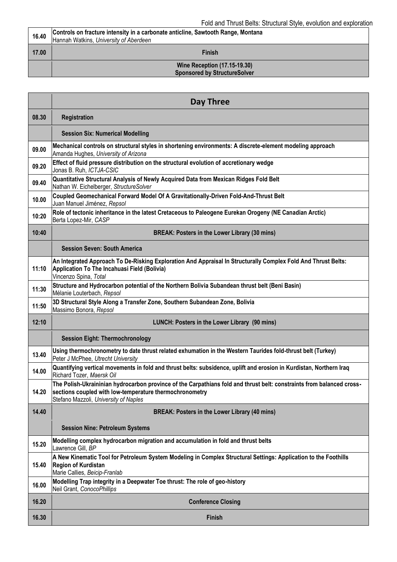| 16.40 | Controls on fracture intensity in a carbonate anticline, Sawtooth Range, Montana<br>Hannah Watkins, University of Aberdeen |
|-------|----------------------------------------------------------------------------------------------------------------------------|
| 17.00 | <b>Finish</b>                                                                                                              |
|       | <b>Wine Reception (17.15-19.30)</b><br><b>Sponsored by StructureSolver</b>                                                 |

|       | Day Three                                                                                                                                                                                                                 |
|-------|---------------------------------------------------------------------------------------------------------------------------------------------------------------------------------------------------------------------------|
| 08.30 | Registration                                                                                                                                                                                                              |
|       | <b>Session Six: Numerical Modelling</b>                                                                                                                                                                                   |
| 09.00 | Mechanical controls on structural styles in shortening environments: A discrete-element modeling approach<br>Amanda Hughes, University of Arizona                                                                         |
| 09.20 | Effect of fluid pressure distribution on the structural evolution of accretionary wedge<br>Jonas B. Ruh, ICTJA-CSIC                                                                                                       |
| 09.40 | Quantitative Structural Analysis of Newly Acquired Data from Mexican Ridges Fold Belt<br>Nathan W. Eichelberger, StructureSolver                                                                                          |
| 10.00 | Coupled Geomechanical Forward Model Of A Gravitationally-Driven Fold-And-Thrust Belt<br>Juan Manuel Jiménez, Repsol                                                                                                       |
| 10:20 | Role of tectonic inheritance in the latest Cretaceous to Paleogene Eurekan Orogeny (NE Canadian Arctic)<br>Berta Lopez-Mir, CASP                                                                                          |
| 10:40 | BREAK: Posters in the Lower Library (30 mins)                                                                                                                                                                             |
|       | <b>Session Seven: South America</b>                                                                                                                                                                                       |
| 11:10 | An Integrated Approach To De-Risking Exploration And Appraisal In Structurally Complex Fold And Thrust Belts:<br>Application To The Incahuasi Field (Bolivia)<br>Vincenzo Spina, Total                                    |
| 11:30 | Structure and Hydrocarbon potential of the Northern Bolivia Subandean thrust belt (Beni Basin)<br>Mélanie Louterbach, Repsol                                                                                              |
| 11:50 | 3D Structural Style Along a Transfer Zone, Southern Subandean Zone, Bolivia<br>Massimo Bonora, Repsol                                                                                                                     |
| 12:10 | LUNCH: Posters in the Lower Library (90 mins)                                                                                                                                                                             |
|       | <b>Session Eight: Thermochronology</b>                                                                                                                                                                                    |
| 13.40 | Using thermochronometry to date thrust related exhumation in the Western Taurides fold-thrust belt (Turkey)<br>Peter J McPhee, Utrecht University                                                                         |
| 14.00 | Quantifying vertical movements in fold and thrust belts: subsidence, uplift and erosion in Kurdistan, Northern Iraq<br>Richard Tozer, Maersk Oil                                                                          |
| 14.20 | The Polish-Ukraininian hydrocarbon province of the Carpathians fold and thrust belt: constraints from balanced cross-<br>sections coupled with low-temperature thermochronometry<br>Stefano Mazzoli, University of Naples |
| 14.40 | BREAK: Posters in the Lower Library (40 mins)                                                                                                                                                                             |
|       | <b>Session Nine: Petroleum Systems</b>                                                                                                                                                                                    |
| 15.20 | Modelling complex hydrocarbon migration and accumulation in fold and thrust belts<br>Lawrence Gill, BP                                                                                                                    |
| 15.40 | A New Kinematic Tool for Petroleum System Modeling in Complex Structural Settings: Application to the Foothills<br><b>Region of Kurdistan</b><br>Marie Callies, Beicip-Franlab                                            |
| 16.00 | Modelling Trap integrity in a Deepwater Toe thrust: The role of geo-history<br>Neil Grant, ConocoPhillips                                                                                                                 |
| 16.20 | <b>Conference Closing</b>                                                                                                                                                                                                 |
| 16.30 | <b>Finish</b>                                                                                                                                                                                                             |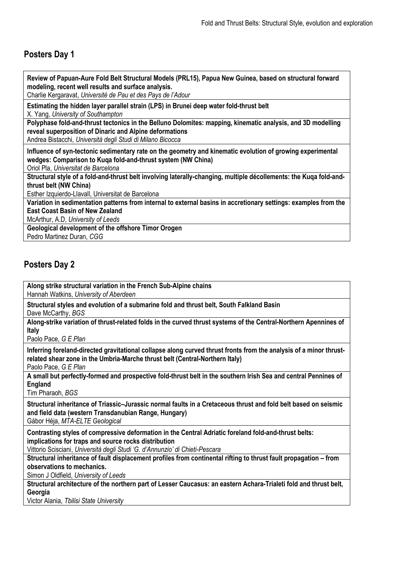## **Posters Day 1**

**Review of Papuan-Aure Fold Belt Structural Models (PRL15), Papua New Guinea, based on structural forward modeling, recent well results and surface analysis.**

Charlie Kergaravat, *Université de Pau et des Pays de l'Adour*

**Estimating the hidden layer parallel strain (LPS) in Brunei deep water fold-thrust belt**

X. Yang, *University of Southampton*

**Polyphase fold-and-thrust tectonics in the Belluno Dolomites: mapping, kinematic analysis, and 3D modelling reveal superposition of Dinaric and Alpine deformations**

Andrea Bistacchi, *Università degli Studi di Milano Bicocca*

**Influence of syn-tectonic sedimentary rate on the geometry and kinematic evolution of growing experimental wedges: Comparison to Kuqa fold-and-thrust system (NW China)**

Oriol Pla, *Universitat de Barcelona*

**Structural style of a fold-and-thrust belt involving laterally-changing, multiple décollements: the Kuqa fold-andthrust belt (NW China)**

Esther Izquierdo-Llavall, Universitat de Barcelona

**Variation in sedimentation patterns from internal to external basins in accretionary settings: examples from the East Coast Basin of New Zealand**

McArthur, A.D, *University of Leeds*

**Geological development of the offshore Timor Orogen**

Pedro Martinez Duran, *CGG*

### **Posters Day 2**

**Along strike structural variation in the French Sub-Alpine chains**

Hannah Watkins, *University of Aberdeen*

**Structural styles and evolution of a submarine fold and thrust belt, South Falkland Basin**  Dave McCarthy, *BGS*

**Along-strike variation of thrust-related folds in the curved thrust systems of the Central-Northern Apennines of Italy**

Paolo Pace, *G E Plan*

**Inferring foreland-directed gravitational collapse along curved thrust fronts from the analysis of a minor thrustrelated shear zone in the Umbria-Marche thrust belt (Central-Northern Italy)**

Paolo Pace, *G E Plan*

**A small but perfectly-formed and prospective fold-thrust belt in the southern Irish Sea and central Pennines of England**

Tim Pharaoh, *BGS*

**Structural inheritance of Triassic–Jurassic normal faults in a Cretaceous thrust and fold belt based on seismic and field data (western Transdanubian Range, Hungary)** 

Gábor Héja, *MTA-ELTE Geological*

**Contrasting styles of compressive deformation in the Central Adriatic foreland fold-and-thrust belts: implications for traps and source rocks distribution** 

Vittorio Scisciani, *Università degli Studi 'G. d'Annunzio' di Chieti-Pescara*

**Structural inheritance of fault displacement profiles from continental rifting to thrust fault propagation – from observations to mechanics.**

Simon J Oldfield, *University of Leeds*

**Structural architecture of the northern part of Lesser Caucasus: an eastern Achara-Trialeti fold and thrust belt, Georgia**

Victor Alania, *Tbilisi State University*